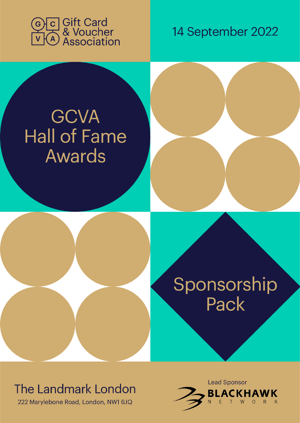

14 September 2022

# **GCVA Hall of Fame** Awards



## The Landmark London

222 Marylebone Road, London, NW1 6JQ